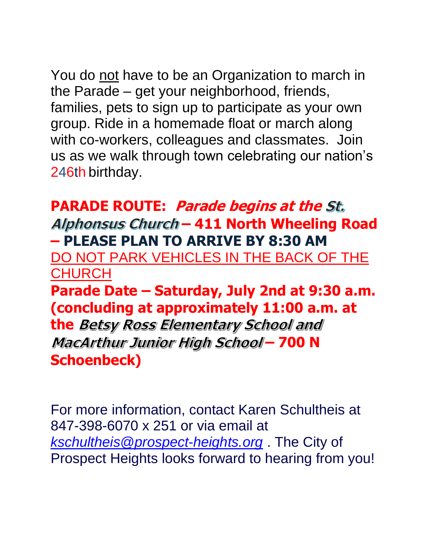You do not have to be an Organization to march in the Parade – get your neighborhood, friends, families, pets to sign up to participate as your own group. Ride in a homemade float or march along with co-workers, colleagues and classmates. Join us as we walk through town celebrating our nation's 246th birthday.

## **PARADE ROUTE: Parade begins at the – 411 North Wheeling Road – PLEASE PLAN TO ARRIVE BY 8:30 AM**

DO NOT PARK VEHICLES IN THE BACK OF THE **CHURCH** 

**Parade Date – Saturday, July 2nd at 9:30 a.m. (concluding at approximately 11:00 a.m. at** 

**the Betsy Ross Elementary School and** MacArthur Junior High School - 700 N **Schoenbeck)**

For more information, contact Karen Schultheis at 847-398-6070 x 251 or via email at *[kschultheis@prospect-heights.org](mailto:kschultheis@prospect-heights.org)* . The City of Prospect Heights looks forward to hearing from you!